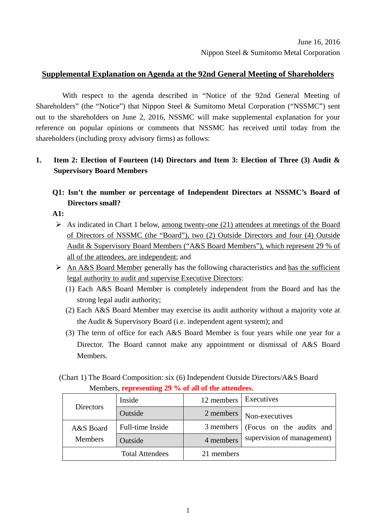### **Supplemental Explanation on Agenda at the 92nd General Meeting of Shareholders**

With respect to the agenda described in "Notice of the 92nd General Meeting of Shareholders" (the "Notice") that Nippon Steel & Sumitomo Metal Corporation ("NSSMC") sent out to the shareholders on June 2, 2016, NSSMC will make supplemental explanation for your reference on popular opinions or comments that NSSMC has received until today from the shareholders (including proxy advisory firms) as follows:

## **1. Item 2: Election of Fourteen (14) Directors and Item 3: Election of Three (3) Audit & Supervisory Board Members**

# **Q1: Isn't the number or percentage of Independent Directors at NSSMC's Board of Directors small?**

**A1:** 

- $\triangleright$  As indicated in Chart 1 below, among twenty-one (21) attendees at meetings of the Board of Directors of NSSMC (the "Board"), two (2) Outside Directors and four (4) Outside Audit & Supervisory Board Members ("A&S Board Members"), which represent 29 % of all of the attendees, are independent; and
- $\triangleright$  An A&S Board Member generally has the following characteristics and has the sufficient legal authority to audit and supervise Executive Directors:
	- (1) Each A&S Board Member is completely independent from the Board and has the strong legal audit authority;
	- (2) Each A&S Board Member may exercise its audit authority without a majority vote at the Audit & Supervisory Board (i.e. independent agent system); and
	- (3) The term of office for each A&S Board Member is four years while one year for a Director. The Board cannot make any appointment or dismissal of A&S Board Members.

|  | (Chart 1) The Board Composition: six (6) Independent Outside Directors/A&S Board |  |  |  |
|--|----------------------------------------------------------------------------------|--|--|--|
|  | Members, representing 29 % of all of the attendees.                              |  |  |  |

|                | Inside                 | 12 members   Executives |                            |
|----------------|------------------------|-------------------------|----------------------------|
| Directors      | Outside                | 2 members               | Non-executives             |
| A&S Board      | Full-time Inside       | 3 members               | (Focus on the audits and   |
| <b>Members</b> | Outside                | 4 members               | supervision of management) |
|                | <b>Total Attendees</b> | 21 members              |                            |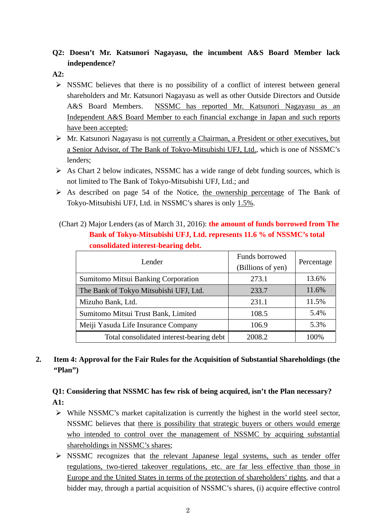# **Q2: Doesn't Mr. Katsunori Nagayasu, the incumbent A&S Board Member lack independence?**

**A2:** 

- $\triangleright$  NSSMC believes that there is no possibility of a conflict of interest between general shareholders and Mr. Katsunori Nagayasu as well as other Outside Directors and Outside A&S Board Members. NSSMC has reported Mr. Katsunori Nagayasu as an Independent A&S Board Member to each financial exchange in Japan and such reports have been accepted;
- Mr. Katsunori Nagayasu is not currently a Chairman, a President or other executives, but a Senior Advisor, of The Bank of Tokyo-Mitsubishi UFJ, Ltd., which is one of NSSMC's lenders;
- $\triangleright$  As Chart 2 below indicates, NSSMC has a wide range of debt funding sources, which is not limited to The Bank of Tokyo-Mitsubishi UFJ, Ltd.; and
- $\triangleright$  As described on page 54 of the Notice, the ownership percentage of The Bank of Tokyo-Mitsubishi UFJ, Ltd. in NSSMC's shares is only 1.5%.
- (Chart 2) Major Lenders (as of March 31, 2016): **the amount of funds borrowed from The Bank of Tokyo-Mitsubishi UFJ, Ltd. represents 11.6 % of NSSMC's total consolidated interest-bearing debt.**

| Lender                                   | Funds borrowed<br>(Billions of yen) | Percentage |
|------------------------------------------|-------------------------------------|------------|
| Sumitomo Mitsui Banking Corporation      | 273.1                               | 13.6%      |
| The Bank of Tokyo Mitsubishi UFJ, Ltd.   | 233.7                               | 11.6%      |
| Mizuho Bank, Ltd.                        | 231.1                               | 11.5%      |
| Sumitomo Mitsui Trust Bank, Limited      | 108.5                               | 5.4%       |
| Meiji Yasuda Life Insurance Company      | 106.9                               | 5.3%       |
| Total consolidated interest-bearing debt | 2008.2                              | 100%       |

# **2. Item 4: Approval for the Fair Rules for the Acquisition of Substantial Shareholdings (the "Plan")**

# **Q1: Considering that NSSMC has few risk of being acquired, isn't the Plan necessary? A1:**

- $\triangleright$  While NSSMC's market capitalization is currently the highest in the world steel sector, NSSMC believes that there is possibility that strategic buyers or others would emerge who intended to control over the management of NSSMC by acquiring substantial shareholdings in NSSMC's shares;
- $\triangleright$  NSSMC recognizes that the relevant Japanese legal systems, such as tender offer regulations, two-tiered takeover regulations, etc. are far less effective than those in Europe and the United States in terms of the protection of shareholders' rights, and that a bidder may, through a partial acquisition of NSSMC's shares, (i) acquire effective control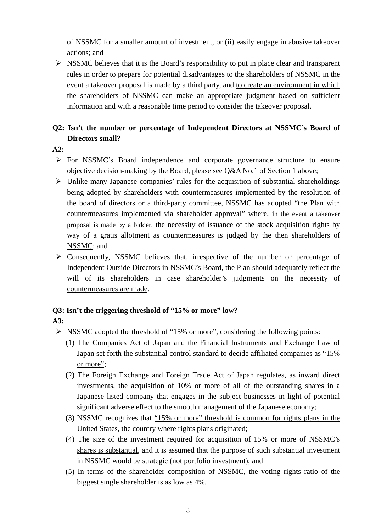of NSSMC for a smaller amount of investment, or (ii) easily engage in abusive takeover actions; and

 $\triangleright$  NSSMC believes that it is the Board's responsibility to put in place clear and transparent rules in order to prepare for potential disadvantages to the shareholders of NSSMC in the event a takeover proposal is made by a third party, and to create an environment in which the shareholders of NSSMC can make an appropriate judgment based on sufficient information and with a reasonable time period to consider the takeover proposal.

# **Q2: Isn't the number or percentage of Independent Directors at NSSMC's Board of Directors small?**

### **A2:**

- For NSSMC's Board independence and corporate governance structure to ensure objective decision-making by the Board, please see Q&A No,1 of Section 1 above;
- $\triangleright$  Unlike many Japanese companies' rules for the acquisition of substantial shareholdings being adopted by shareholders with countermeasures implemented by the resolution of the board of directors or a third-party committee, NSSMC has adopted "the Plan with countermeasures implemented via shareholder approval" where, in the event a takeover proposal is made by a bidder, the necessity of issuance of the stock acquisition rights by way of a gratis allotment as countermeasures is judged by the then shareholders of NSSMC; and
- $\triangleright$  Consequently, NSSMC believes that, irrespective of the number or percentage of Independent Outside Directors in NSSMC's Board, the Plan should adequately reflect the will of its shareholders in case shareholder's judgments on the necessity of countermeasures are made.

### **Q3: Isn't the triggering threshold of "15% or more" low?**

### **A3:**

- $\triangleright$  NSSMC adopted the threshold of "15% or more", considering the following points:
	- (1) The Companies Act of Japan and the Financial Instruments and Exchange Law of Japan set forth the substantial control standard to decide affiliated companies as "15% or more";
	- (2) The Foreign Exchange and Foreign Trade Act of Japan regulates, as inward direct investments, the acquisition of 10% or more of all of the outstanding shares in a Japanese listed company that engages in the subject businesses in light of potential significant adverse effect to the smooth management of the Japanese economy;
	- (3) NSSMC recognizes that "15% or more" threshold is common for rights plans in the United States, the country where rights plans originated;
	- (4) The size of the investment required for acquisition of 15% or more of NSSMC's shares is substantial, and it is assumed that the purpose of such substantial investment in NSSMC would be strategic (not portfolio investment); and
	- (5) In terms of the shareholder composition of NSSMC, the voting rights ratio of the biggest single shareholder is as low as 4%.